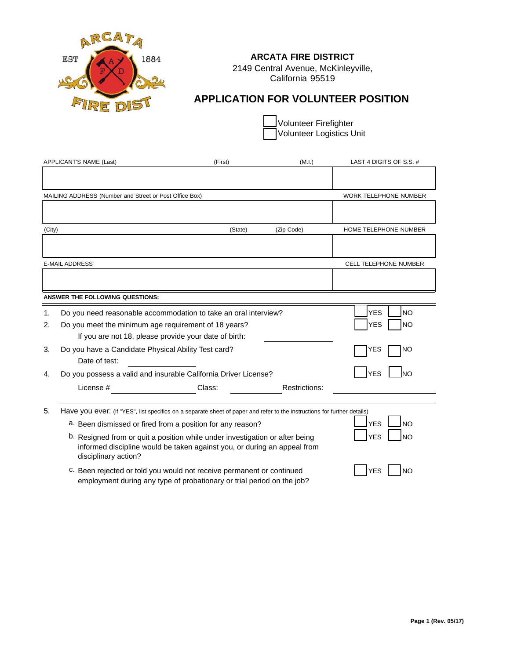

# **ARCATA FIRE DISTRICT**

2149 Central Avenue, McKinleyville, California 95519

# **APPLICATION FOR VOLUNTEER POSITION**

Volunteer Firefighter Volunteer Logistics Unit

| APPLICANT'S NAME (Last) |                                                                      | (First)                                                                                                                                                  | (M.I.)        | LAST 4 DIGITS OF S.S. #      |  |
|-------------------------|----------------------------------------------------------------------|----------------------------------------------------------------------------------------------------------------------------------------------------------|---------------|------------------------------|--|
|                         |                                                                      |                                                                                                                                                          |               |                              |  |
|                         | MAILING ADDRESS (Number and Street or Post Office Box)               |                                                                                                                                                          |               | <b>WORK TELEPHONE NUMBER</b> |  |
|                         |                                                                      |                                                                                                                                                          |               |                              |  |
| (City)                  |                                                                      | (State)                                                                                                                                                  | (Zip Code)    | HOME TELEPHONE NUMBER        |  |
|                         |                                                                      |                                                                                                                                                          |               |                              |  |
|                         | <b>E-MAIL ADDRESS</b>                                                |                                                                                                                                                          |               | CELL TELEPHONE NUMBER        |  |
|                         |                                                                      |                                                                                                                                                          |               |                              |  |
|                         | <b>ANSWER THE FOLLOWING QUESTIONS:</b>                               |                                                                                                                                                          |               |                              |  |
| 1.                      |                                                                      | Do you need reasonable accommodation to take an oral interview?                                                                                          |               | <b>NO</b><br><b>YES</b>      |  |
| 2.                      | Do you meet the minimum age requirement of 18 years?                 |                                                                                                                                                          |               | <b>YES</b><br><b>NO</b>      |  |
|                         | If you are not 18, please provide your date of birth:                |                                                                                                                                                          |               |                              |  |
| 3.                      | Do you have a Candidate Physical Ability Test card?<br>Date of test: |                                                                                                                                                          |               | <b>YES</b><br>NO             |  |
| 4.                      |                                                                      | Do you possess a valid and insurable California Driver License?                                                                                          |               | <b>YES</b><br>lno            |  |
|                         | License #                                                            | Class:                                                                                                                                                   | Restrictions: |                              |  |
| 5.                      |                                                                      | Have you ever: (if "YES", list specifics on a separate sheet of paper and refer to the instructions for further details)                                 |               |                              |  |
|                         |                                                                      | a. Been dismissed or fired from a position for any reason?                                                                                               |               | <b>YES</b><br><b>NO</b>      |  |
|                         | disciplinary action?                                                 | b. Resigned from or quit a position while under investigation or after being<br>informed discipline would be taken against you, or during an appeal from |               | <b>YES</b><br>N <sub>O</sub> |  |
|                         |                                                                      | c. Been rejected or told you would not receive permanent or continued                                                                                    |               | <b>YES</b><br><b>NO</b>      |  |

c. Been rejected or told you would not receive permanent or continued employment during any type of probationary or trial period on the job?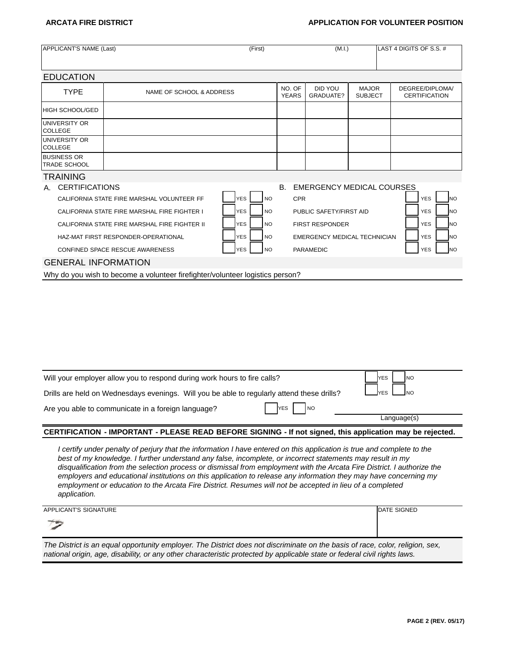# **ARCATA FIRE DISTRICT APPLICATION FOR VOLUNTEER POSITION**

| APPLICANT'S NAME (Last)                   | (First)                                       |                         | (M.I.)                 |                                     | LAST 4 DIGITS OF S.S. #        |                                         |
|-------------------------------------------|-----------------------------------------------|-------------------------|------------------------|-------------------------------------|--------------------------------|-----------------------------------------|
| <b>EDUCATION</b>                          |                                               |                         |                        |                                     |                                |                                         |
| <b>TYPE</b>                               | NAME OF SCHOOL & ADDRESS                      |                         | NO. OF<br><b>YEARS</b> | DID YOU<br>GRADUATE?                | <b>MAJOR</b><br><b>SUBJECT</b> | DEGREE/DIPLOMA/<br><b>CERTIFICATION</b> |
| IHIGH SCHOOL/GED                          |                                               |                         |                        |                                     |                                |                                         |
| <b>UNIVERSITY OR</b><br><b>COLLEGE</b>    |                                               |                         |                        |                                     |                                |                                         |
| UNIVERSITY OR<br><b>COLLEGE</b>           |                                               |                         |                        |                                     |                                |                                         |
| <b>BUSINESS OR</b><br><b>TRADE SCHOOL</b> |                                               |                         |                        |                                     |                                |                                         |
| <b>TRAINING</b>                           |                                               |                         |                        |                                     |                                |                                         |
| <b>CERTIFICATIONS</b><br>А.               |                                               |                         | <b>B.</b>              | <b>EMERGENCY MEDICAL COURSES</b>    |                                |                                         |
|                                           | CALIFORNIA STATE FIRE MARSHAL VOLUNTEER FF    | <b>YES</b><br><b>NO</b> | <b>CPR</b>             |                                     |                                | <b>NO</b><br><b>YES</b>                 |
|                                           | CALIFORNIA STATE FIRE MARSHAL FIRE FIGHTER I  | <b>YES</b><br><b>NO</b> |                        | PUBLIC SAFETY/FIRST AID             |                                | <b>YES</b><br><b>INO</b>                |
|                                           | CALIFORNIA STATE FIRE MARSHAL FIRE FIGHTER II | <b>YES</b><br><b>NO</b> |                        | <b>FIRST RESPONDER</b>              |                                | <b>YES</b><br><b>INO</b>                |
|                                           | HAZ-MAT FIRST RESPONDER-OPERATIONAL           | <b>YES</b><br><b>NO</b> |                        | <b>EMERGENCY MEDICAL TECHNICIAN</b> |                                | <b>YES</b><br><b>NO</b>                 |
|                                           | CONFINED SPACE RESCUE AWARENESS               | <b>YES</b><br><b>NO</b> |                        | <b>PARAMEDIC</b>                    |                                | <b>YES</b><br><b>INO</b>                |

### GENERAL INFORMATION

Why do you wish to become a volunteer firefighter/volunteer logistics person?

| Language(s)<br>CERTIFICATION - IMPORTANT - PLEASE READ BEFORE SIGNING - If not signed, this application may be rejected. |            |  |  |  |
|--------------------------------------------------------------------------------------------------------------------------|------------|--|--|--|
| Are you able to communicate in a foreign language?                                                                       |            |  |  |  |
| Drills are held on Wednesdays evenings. Will you be able to regularly attend these drills?                               | <b>VES</b> |  |  |  |
| Will your employer allow you to respond during work hours to fire calls?                                                 | <b>NO</b>  |  |  |  |

*I certify under penalty of perjury that the information I have entered on this application is true and complete to the best of my knowledge. I further understand any false, incomplete, or incorrect statements may result in my disqualification from the selection process or dismissal from employment with the Arcata Fire District. I authorize the employers and educational institutions on this application to release any information they may have concerning my employment or education to the Arcata Fire District. Resumes will not be accepted in lieu of a completed application.*

| APPLICANT'S SIGNATURE                                                                                                         | <b>IDATE SIGNED</b> |
|-------------------------------------------------------------------------------------------------------------------------------|---------------------|
| $\rightarrow$                                                                                                                 |                     |
| The District is an equal opportunity employer. The District does not discriminate on the basis of race, color, religion, sex, |                     |

*national origin, age, disability, or any other characteristic protected by applicable state or federal civil rights laws.*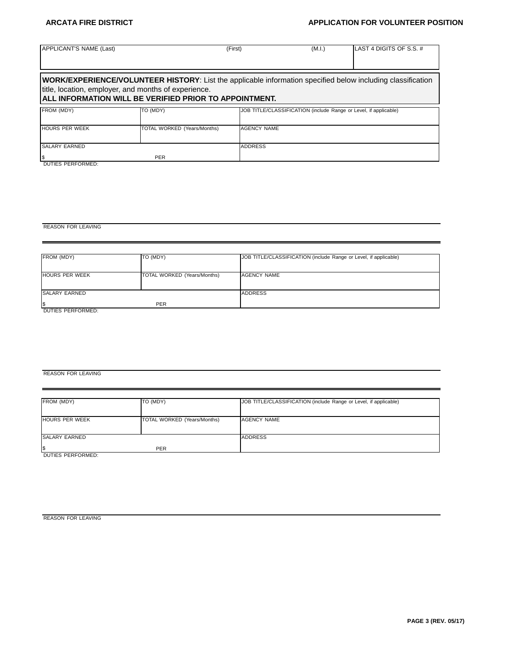# **ARCATA FIRE DISTRICT APPLICATION FOR VOLUNTEER POSITION**

| APPLICANT'S NAME (Last)    |                                                                                                                                                                                                                                       | (First)            | (M.I.) | LAST 4 DIGITS OF S.S. #                                          |
|----------------------------|---------------------------------------------------------------------------------------------------------------------------------------------------------------------------------------------------------------------------------------|--------------------|--------|------------------------------------------------------------------|
|                            | <b>WORK/EXPERIENCE/VOLUNTEER HISTORY:</b> List the applicable information specified below including classification<br>title, location, employer, and months of experience.<br>IALL INFORMATION WILL BE VERIFIED PRIOR TO APPOINTMENT. |                    |        |                                                                  |
| FROM (MDY)                 | TO (MDY)                                                                                                                                                                                                                              |                    |        | JOB TITLE/CLASSIFICATION (include Range or Level, if applicable) |
| <b>HOURS PER WEEK</b>      | TOTAL WORKED (Years/Months)                                                                                                                                                                                                           | <b>AGENCY NAME</b> |        |                                                                  |
| <b>SALARY EARNED</b><br>\$ | <b>PER</b>                                                                                                                                                                                                                            | <b>ADDRESS</b>     |        |                                                                  |

DUTIES PERFORMED:

### REASON FOR LEAVING

| FROM (MDY)            | TO (MDY)                    | JOB TITLE/CLASSIFICATION (include Range or Level, if applicable) |  |  |
|-----------------------|-----------------------------|------------------------------------------------------------------|--|--|
| <b>HOURS PER WEEK</b> | TOTAL WORKED (Years/Months) | AGENCY NAME                                                      |  |  |
| <b>SALARY EARNED</b>  |                             | <b>ADDRESS</b>                                                   |  |  |
|                       | <b>PER</b>                  |                                                                  |  |  |
| DUTIES PERFORMED:     |                             |                                                                  |  |  |

### REASON FOR LEAVING

| FROM (MDY)            | TO (MDY)                    | JOB TITLE/CLASSIFICATION (include Range or Level, if applicable) |  |  |
|-----------------------|-----------------------------|------------------------------------------------------------------|--|--|
|                       |                             |                                                                  |  |  |
| <b>HOURS PER WEEK</b> | TOTAL WORKED (Years/Months) | <b>AGENCY NAME</b>                                               |  |  |
|                       |                             |                                                                  |  |  |
| SALARY EARNED         |                             | <b>ADDRESS</b>                                                   |  |  |
|                       | <b>PER</b>                  |                                                                  |  |  |
| DUTIES PERFORMED:     |                             |                                                                  |  |  |

REASON FOR LEAVING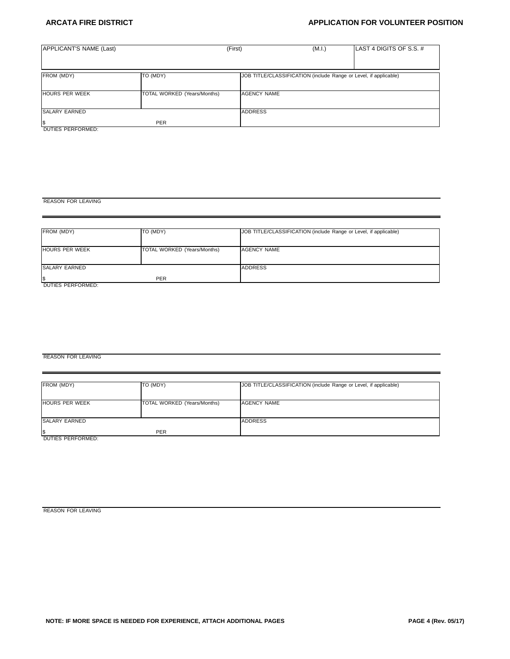# **ARCATA FIRE DISTRICT APPLICATION FOR VOLUNTEER POSITION**

| APPLICANT'S NAME (Last)                              |                                    | (First)            | (M.I.)                                                           | LAST 4 DIGITS OF S.S. # |
|------------------------------------------------------|------------------------------------|--------------------|------------------------------------------------------------------|-------------------------|
|                                                      |                                    |                    |                                                                  |                         |
| FROM (MDY)                                           | TO (MDY)                           |                    | JOB TITLE/CLASSIFICATION (include Range or Level, if applicable) |                         |
| <b>HOURS PER WEEK</b>                                | <b>TOTAL WORKED (Years/Months)</b> | <b>AGENCY NAME</b> |                                                                  |                         |
| <b>SALARY EARNED</b>                                 |                                    | <b>ADDRESS</b>     |                                                                  |                         |
| $\overline{\mathcal{S}}$<br><b>DUTIES PERFORMED:</b> | <b>PER</b>                         |                    |                                                                  |                         |

REASON FOR LEAVING

| FROM (MDY)            | TO (MDY)                    | JOB TITLE/CLASSIFICATION (include Range or Level, if applicable) |  |  |
|-----------------------|-----------------------------|------------------------------------------------------------------|--|--|
| <b>HOURS PER WEEK</b> | TOTAL WORKED (Years/Months) | AGENCY NAME                                                      |  |  |
| SALARY EARNED         |                             | <b>ADDRESS</b>                                                   |  |  |
| l\$                   | <b>PER</b>                  |                                                                  |  |  |
| DUTIES PERFORMED:     |                             |                                                                  |  |  |

### REASON FOR LEAVING

| FROM (MDY)            | TO (MDY)                    | JOB TITLE/CLASSIFICATION (include Range or Level, if applicable) |  |  |
|-----------------------|-----------------------------|------------------------------------------------------------------|--|--|
|                       |                             |                                                                  |  |  |
| <b>HOURS PER WEEK</b> | TOTAL WORKED (Years/Months) | AGENCY NAME                                                      |  |  |
|                       |                             |                                                                  |  |  |
| <b>SALARY EARNED</b>  |                             | <b>ADDRESS</b>                                                   |  |  |
|                       | <b>PER</b>                  |                                                                  |  |  |
| DUTIES PERFORMED:     |                             |                                                                  |  |  |

REASON FOR LEAVING